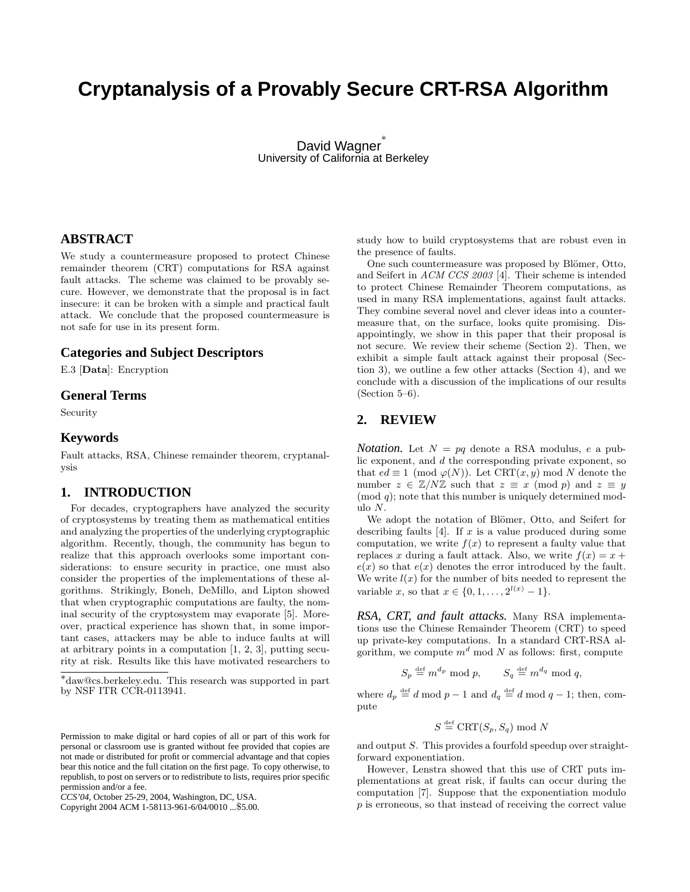# **Cryptanalysis of a Provably Secure CRT-RSA Algorithm**

David Wagner<sup>\*</sup> University of California at Berkeley

# **ABSTRACT**

We study a countermeasure proposed to protect Chinese remainder theorem (CRT) computations for RSA against fault attacks. The scheme was claimed to be provably secure. However, we demonstrate that the proposal is in fact insecure: it can be broken with a simple and practical fault attack. We conclude that the proposed countermeasure is not safe for use in its present form.

## **Categories and Subject Descriptors**

E.3 [Data]: Encryption

## **General Terms**

Security

## **Keywords**

Fault attacks, RSA, Chinese remainder theorem, cryptanalysis

## **1. INTRODUCTION**

For decades, cryptographers have analyzed the security of cryptosystems by treating them as mathematical entities and analyzing the properties of the underlying cryptographic algorithm. Recently, though, the community has begun to realize that this approach overlooks some important considerations: to ensure security in practice, one must also consider the properties of the implementations of these algorithms. Strikingly, Boneh, DeMillo, and Lipton showed that when cryptographic computations are faulty, the nominal security of the cryptosystem may evaporate [5]. Moreover, practical experience has shown that, in some important cases, attackers may be able to induce faults at will at arbitrary points in a computation [1, 2, 3], putting security at risk. Results like this have motivated researchers to

Copyright 2004 ACM 1-58113-961-6/04/0010 ...\$5.00.

study how to build cryptosystems that are robust even in the presence of faults.

One such countermeasure was proposed by Blömer, Otto, and Seifert in ACM CCS 2003 [4]. Their scheme is intended to protect Chinese Remainder Theorem computations, as used in many RSA implementations, against fault attacks. They combine several novel and clever ideas into a countermeasure that, on the surface, looks quite promising. Disappointingly, we show in this paper that their proposal is not secure. We review their scheme (Section 2). Then, we exhibit a simple fault attack against their proposal (Section 3), we outline a few other attacks (Section 4), and we conclude with a discussion of the implications of our results  $(Section 5-6).$ 

## **2. REVIEW**

*Notation.* Let  $N = pq$  denote a RSA modulus, e a public exponent, and d the corresponding private exponent, so that  $ed \equiv 1 \pmod{\varphi(N)}$ . Let  $\text{CRT}(x, y) \mod N$  denote the number  $z \in \mathbb{Z}/N\mathbb{Z}$  such that  $z \equiv x \pmod{p}$  and  $z \equiv y$  $(mod q)$ ; note that this number is uniquely determined modulo N.

We adopt the notation of Blömer, Otto, and Seifert for describing faults  $[4]$ . If x is a value produced during some computation, we write  $f(x)$  to represent a faulty value that replaces x during a fault attack. Also, we write  $f(x) = x +$  $e(x)$  so that  $e(x)$  denotes the error introduced by the fault. We write  $l(x)$  for the number of bits needed to represent the variable x, so that  $x \in \{0, 1, ..., 2^{l(x)} - 1\}.$ 

*RSA, CRT, and fault attacks.* Many RSA implementations use the Chinese Remainder Theorem (CRT) to speed up private-key computations. In a standard CRT-RSA algorithm, we compute  $m<sup>d</sup>$  mod N as follows: first, compute

 $S_p \stackrel{\text{def}}{=} m^{d_p} \mod p$ ,  $S_q \stackrel{\text{def}}{=} m^{d_q} \mod q$ ,

where  $d_p \stackrel{\text{def}}{=} d \mod p - 1$  and  $d_q \stackrel{\text{def}}{=} d \mod q - 1$ ; then, compute

$$
S \stackrel{\text{def}}{=} \text{CRT}(S_p, S_q) \text{ mod } N
$$

and output S. This provides a fourfold speedup over straightforward exponentiation.

However, Lenstra showed that this use of CRT puts implementations at great risk, if faults can occur during the computation [7]. Suppose that the exponentiation modulo p is erroneous, so that instead of receiving the correct value

<sup>∗</sup> daw@cs.berkeley.edu. This research was supported in part by NSF ITR CCR-0113941.

Permission to make digital or hard copies of all or part of this work for personal or classroom use is granted without fee provided that copies are not made or distributed for profit or commercial advantage and that copies bear this notice and the full citation on the first page. To copy otherwise, to republish, to post on servers or to redistribute to lists, requires prior specific permission and/or a fee.

*CCS'04,* October 25-29, 2004, Washington, DC, USA.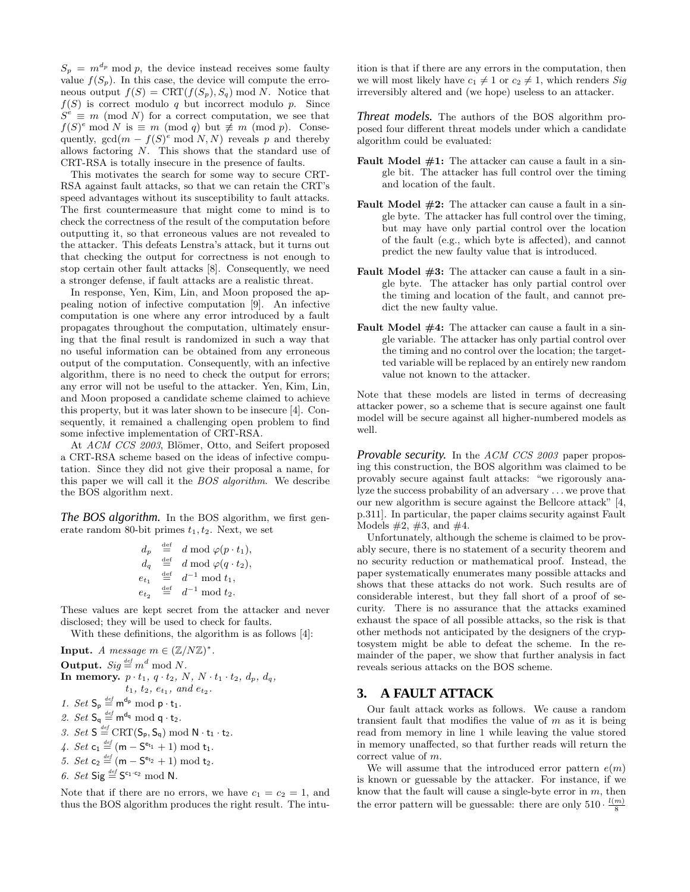$S_p = m^{d_p} \mod p$ , the device instead receives some faulty value  $f(S_p)$ . In this case, the device will compute the erroneous output  $f(S) = \text{CRT}(f(S_p), S_q) \text{ mod } N$ . Notice that  $f(S)$  is correct modulo q but incorrect modulo p. Since  $S^e \equiv m \pmod{N}$  for a correct computation, we see that  $f(S)^e \mod N$  is  $\equiv m \pmod{q}$  but  $\not\equiv m \pmod{p}$ . Consequently,  $gcd(m - f(S)^e \mod N, N)$  reveals p and thereby allows factoring N. This shows that the standard use of CRT-RSA is totally insecure in the presence of faults.

This motivates the search for some way to secure CRT-RSA against fault attacks, so that we can retain the CRT's speed advantages without its susceptibility to fault attacks. The first countermeasure that might come to mind is to check the correctness of the result of the computation before outputting it, so that erroneous values are not revealed to the attacker. This defeats Lenstra's attack, but it turns out that checking the output for correctness is not enough to stop certain other fault attacks [8]. Consequently, we need a stronger defense, if fault attacks are a realistic threat.

In response, Yen, Kim, Lin, and Moon proposed the appealing notion of infective computation [9]. An infective computation is one where any error introduced by a fault propagates throughout the computation, ultimately ensuring that the final result is randomized in such a way that no useful information can be obtained from any erroneous output of the computation. Consequently, with an infective algorithm, there is no need to check the output for errors; any error will not be useful to the attacker. Yen, Kim, Lin, and Moon proposed a candidate scheme claimed to achieve this property, but it was later shown to be insecure [4]. Consequently, it remained a challenging open problem to find some infective implementation of CRT-RSA.

At ACM CCS 2003, Blömer, Otto, and Seifert proposed a CRT-RSA scheme based on the ideas of infective computation. Since they did not give their proposal a name, for this paper we will call it the BOS algorithm. We describe the BOS algorithm next.

*The BOS algorithm.* In the BOS algorithm, we first generate random 80-bit primes  $t_1, t_2$ . Next, we set

$$
d_p \stackrel{\text{def}}{=} d \mod \varphi(p \cdot t_1),
$$
  
\n
$$
d_q \stackrel{\text{def}}{=} d \mod \varphi(q \cdot t_2),
$$
  
\n
$$
e_{t_1} \stackrel{\text{def}}{=} d^{-1} \mod t_1,
$$
  
\n
$$
e_{t_2} \stackrel{\text{def}}{=} d^{-1} \mod t_2.
$$

These values are kept secret from the attacker and never disclosed; they will be used to check for faults.

With these definitions, the algorithm is as follows [4]:

Input. A message  $m \in (\mathbb{Z}/N\mathbb{Z})^*$ . **Output.**  $Sig \stackrel{\text{def}}{=} m^d \mod N$ . In memory.  $p \cdot t_1$ ,  $q \cdot t_2$ ,  $N$ ,  $N \cdot t_1 \cdot t_2$ ,  $d_p$ ,  $d_q$ ,  $t_1, t_2, e_{t_1}, \text{ and } e_{t_2}.$ 1. Set  $S_p \stackrel{\text{def}}{=} m^{d_p} \text{ mod } p \cdot t_1$ . 2. Set  $\mathsf{S}_q \stackrel{\text{\tiny def}}{=} \mathsf{m}^{\mathsf{d}_q} \text{ mod } q \cdot \mathsf{t}_2$ . 3. Set  $S \stackrel{\text{def}}{=} \text{CRT}(S_p, S_q) \text{ mod } N \cdot t_1 \cdot t_2$ . 4. Set  $c_1 \stackrel{\text{def}}{=} (m - S^{e_{t_1}} + 1) \bmod t_1$ . 5. Set  $c_2 \stackrel{\text{def}}{=} (m - S^{e_{t_2}} + 1) \text{ mod } t_2$ . 6. Set  $\mathsf{Sig} \stackrel{\text{\tiny def}}{=} \mathsf{S}^{c_1 \cdot c_2} \text{ mod } \mathsf{N}.$ 

Note that if there are no errors, we have  $c_1 = c_2 = 1$ , and thus the BOS algorithm produces the right result. The intuition is that if there are any errors in the computation, then we will most likely have  $c_1 \neq 1$  or  $c_2 \neq 1$ , which renders Sig irreversibly altered and (we hope) useless to an attacker.

*Threat models.* The authors of the BOS algorithm proposed four different threat models under which a candidate algorithm could be evaluated:

- **Fault Model**  $\#1$ **:** The attacker can cause a fault in a single bit. The attacker has full control over the timing and location of the fault.
- **Fault Model**  $#2$ **:** The attacker can cause a fault in a single byte. The attacker has full control over the timing, but may have only partial control over the location of the fault (e.g., which byte is affected), and cannot predict the new faulty value that is introduced.
- **Fault Model**  $#3$ **:** The attacker can cause a fault in a single byte. The attacker has only partial control over the timing and location of the fault, and cannot predict the new faulty value.
- **Fault Model**  $#4$ **:** The attacker can cause a fault in a single variable. The attacker has only partial control over the timing and no control over the location; the targetted variable will be replaced by an entirely new random value not known to the attacker.

Note that these models are listed in terms of decreasing attacker power, so a scheme that is secure against one fault model will be secure against all higher-numbered models as well.

*Provable security.* In the ACM CCS 2003 paper proposing this construction, the BOS algorithm was claimed to be provably secure against fault attacks: "we rigorously analyze the success probability of an adversary . . . we prove that our new algorithm is secure against the Bellcore attack" [4, p.311]. In particular, the paper claims security against Fault Models  $#2, #3, and #4.$ 

Unfortunately, although the scheme is claimed to be provably secure, there is no statement of a security theorem and no security reduction or mathematical proof. Instead, the paper systematically enumerates many possible attacks and shows that these attacks do not work. Such results are of considerable interest, but they fall short of a proof of security. There is no assurance that the attacks examined exhaust the space of all possible attacks, so the risk is that other methods not anticipated by the designers of the cryptosystem might be able to defeat the scheme. In the remainder of the paper, we show that further analysis in fact reveals serious attacks on the BOS scheme.

# **3. A FAULT ATTACK**

Our fault attack works as follows. We cause a random transient fault that modifies the value of  $m$  as it is being read from memory in line 1 while leaving the value stored in memory unaffected, so that further reads will return the correct value of m.

We will assume that the introduced error pattern  $e(m)$ is known or guessable by the attacker. For instance, if we know that the fault will cause a single-byte error in  $m$ , then the error pattern will be guessable: there are only  $510 \cdot \frac{l(m)}{8}$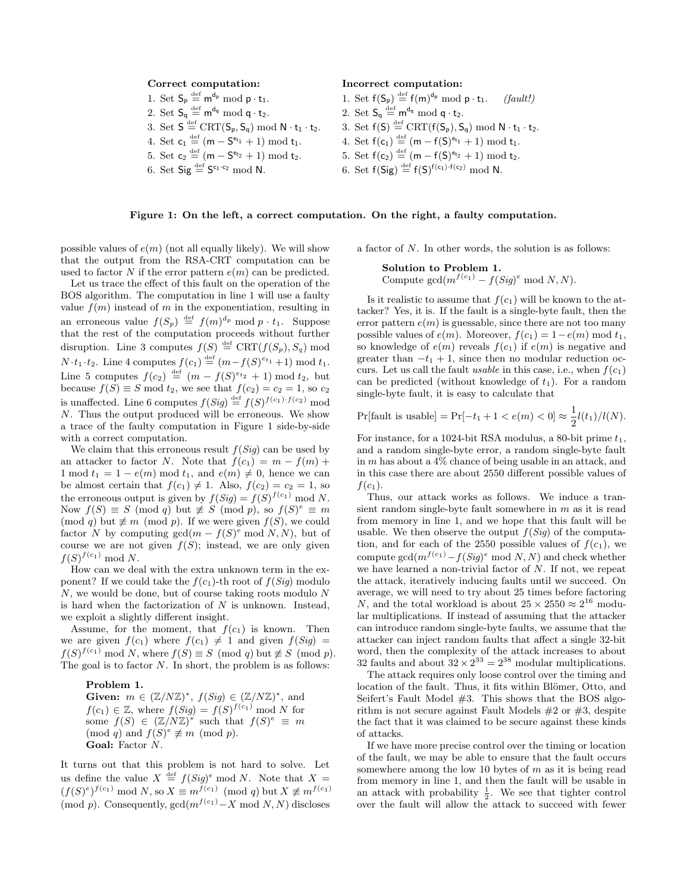#### Correct computation:

- 1. Set  $S_p \stackrel{\text{def}}{=} m^{d_p} \text{ mod } p \cdot t_1$ . 2. Set  $S_q \stackrel{\text{def}}{=} m^{d_q} \text{ mod } q \cdot t_2$ .
- 3. Set  $S \stackrel{\text{def}}{=} \text{CRT}(S_p, S_q) \text{ mod } N \cdot t_1 \cdot t_2$ .
- 4. Set  $c_1 \stackrel{\text{def}}{=} (m S^{e_{t_1}} + 1) \text{ mod } t_1$ .
- 5. Set  $c_2 \stackrel{\text{def}}{=} (m S^{e_{t_2}} + 1) \text{ mod } t_2$ .
- 6. Set  $\mathsf{Sig} \stackrel{\text{def}}{=} \mathsf{S}^{c_1 \cdot c_2} \text{ mod } \mathsf{N}.$

#### Incorrect computation:

- 1. Set  $f(S_p) \stackrel{\text{def}}{=} f(m)^{d_p} \text{ mod } p \cdot t_1$ . *(fault!)*
- 2. Set  $S_q \stackrel{\text{def}}{=} m^{d_q} \text{ mod } q \cdot t_2$ .
- 3. Set  $f(S) \stackrel{\text{def}}{=} \text{CRT}(f(S_p), S_q) \text{ mod } N \cdot t_1 \cdot t_2$ .
- 4. Set  $f(c_1) \stackrel{\text{def}}{=} (m f(S)^{e_{t_1}} + 1) \text{ mod } t_1$ .
- 5. Set  $f(c_2) \stackrel{\text{def}}{=} (m f(S)^{e_{t_2}} + 1) \text{ mod } t_2$ .
- 6. Set  $f(Sig) \stackrel{\text{def}}{=} f(S)^{f(c_1) \cdot f(c_2)} \text{ mod } N$ .

#### Figure 1: On the left, a correct computation. On the right, a faulty computation.

possible values of  $e(m)$  (not all equally likely). We will show that the output from the RSA-CRT computation can be used to factor N if the error pattern  $e(m)$  can be predicted.

Let us trace the effect of this fault on the operation of the BOS algorithm. The computation in line 1 will use a faulty value  $f(m)$  instead of m in the exponentiation, resulting in an erroneous value  $f(S_p) \stackrel{\text{def}}{=} f(m)^{d_p} \text{ mod } p \cdot t_1$ . Suppose that the rest of the computation proceeds without further disruption. Line 3 computes  $f(S) \stackrel{\text{def}}{=} \text{CRT}(f(S_p), S_q)$  mod  $N \cdot t_1 \cdot t_2$ . Line 4 computes  $f(c_1) \stackrel{\text{def}}{=} (m - f(S)^{e_{t_1}} + 1) \text{ mod } t_1$ . Line 5 computes  $f(c_2) \stackrel{\text{def}}{=} (m - f(S)^{e_{t_2}} + 1) \text{ mod } t_2$ , but because  $f(S) \equiv S \mod t_2$ , we see that  $f(c_2) = c_2 = 1$ , so  $c_2$ is unaffected. Line 6 computes  $f(Sig) \stackrel{\text{def}}{=} f(S)f^{(c_1) \cdot f(c_2)}$  mod N. Thus the output produced will be erroneous. We show a trace of the faulty computation in Figure 1 side-by-side with a correct computation.

We claim that this erroneous result  $f(Siq)$  can be used by an attacker to factor N. Note that  $f(c_1) = m - f(m) +$ 1 mod  $t_1 = 1 - e(m) \mod t_1$ , and  $e(m) \neq 0$ , hence we can be almost certain that  $f(c_1) \neq 1$ . Also,  $f(c_2) = c_2 = 1$ , so the erroneous output is given by  $f(Sig) = f(S)^{f(c_1)} \text{ mod } N$ . Now  $f(S) \equiv S \pmod{q}$  but  $\not\equiv S \pmod{p}$ , so  $f(S)^e \equiv m$ (mod q) but  $\not\equiv m \pmod{p}$ . If we were given  $f(S)$ , we could factor N by computing  $gcd(m - f(S)^e \mod N, N)$ , but of course we are not given  $f(S)$ ; instead, we are only given  $f(S)^{f(c_1)} \bmod N$ .

How can we deal with the extra unknown term in the exponent? If we could take the  $f(c_1)$ -th root of  $f(Sig)$  modulo N, we would be done, but of course taking roots modulo N is hard when the factorization of  $N$  is unknown. Instead, we exploit a slightly different insight.

Assume, for the moment, that  $f(c_1)$  is known. Then we are given  $f(c_1)$  where  $f(c_1) \neq 1$  and given  $f(Sig)$  =  $f(S)^{f(c_1)} \mod N$ , where  $f(S) \equiv S \pmod{q}$  but  $\not\equiv S \pmod{p}$ . The goal is to factor  $N$ . In short, the problem is as follows:

Problem 1. Given:  $m \in (\mathbb{Z}/N\mathbb{Z})^*, f(Sig) \in (\mathbb{Z}/N\mathbb{Z})^*,$  and

 $f(c_1) \in \mathbb{Z}$ , where  $f(Sig) = f(S)^{f(c_1)} \text{ mod } N$  for some  $f(S) \in (\mathbb{Z}/N\mathbb{Z})^*$  such that  $f(S)^e \equiv m$  $\pmod{q}$  and  $f(S)^e \not\equiv m \pmod{p}$ . Goal: Factor N.

It turns out that this problem is not hard to solve. Let us define the value  $X \stackrel{\text{def}}{=} f(Sig)^e \text{ mod } N$ . Note that  $X =$  $(f(S)^e)^{f(c_1)} \mod N$ , so  $X \equiv m^{f(c_1)} \pmod{q}$  but  $X \not\equiv m^{f(c_1)}$ (mod p). Consequently,  $gcd(m^{f(c_1)}-X \mod N, N)$  discloses

a factor of N. In other words, the solution is as follows:

#### Solution to Problem 1.

Compute  $gcd(m^{f(c_1)} - f(Sig)^e \mod N, N)$ .

Is it realistic to assume that  $f(c_1)$  will be known to the attacker? Yes, it is. If the fault is a single-byte fault, then the error pattern  $e(m)$  is guessable, since there are not too many possible values of  $e(m)$ . Moreover,  $f(c_1) = 1-e(m) \text{ mod } t_1$ , so knowledge of  $e(m)$  reveals  $f(c_1)$  if  $e(m)$  is negative and greater than  $-t_1 + 1$ , since then no modular reduction occurs. Let us call the fault *usable* in this case, i.e., when  $f(c_1)$ can be predicted (without knowledge of  $t_1$ ). For a random single-byte fault, it is easy to calculate that

$$
\Pr[\text{fault is usable}] = \Pr[-t_1 + 1 < e(m) < 0] \approx \frac{1}{2}l(t_1)/l(N).
$$

For instance, for a 1024-bit RSA modulus, a 80-bit prime  $t_1$ , and a random single-byte error, a random single-byte fault in  $m$  has about a  $4\%$  chance of being usable in an attack, and in this case there are about 2550 different possible values of  $f(c_1)$ .

Thus, our attack works as follows. We induce a transient random single-byte fault somewhere in m as it is read from memory in line 1, and we hope that this fault will be usable. We then observe the output  $f(Siq)$  of the computation, and for each of the 2550 possible values of  $f(c_1)$ , we compute  $\gcd(m^{f(c_1)} - f(Sig)^e \mod N, N)$  and check whether we have learned a non-trivial factor of N. If not, we repeat the attack, iteratively inducing faults until we succeed. On average, we will need to try about 25 times before factoring N, and the total workload is about  $25 \times 2550 \approx 2^{16}$  modular multiplications. If instead of assuming that the attacker can introduce random single-byte faults, we assume that the attacker can inject random faults that affect a single 32-bit word, then the complexity of the attack increases to about 32 faults and about  $32 \times 2^{33} = 2^{38}$  modular multiplications.

The attack requires only loose control over the timing and location of the fault. Thus, it fits within Blömer, Otto, and Seifert's Fault Model #3. This shows that the BOS algorithm is not secure against Fault Models #2 or #3, despite the fact that it was claimed to be secure against these kinds of attacks.

If we have more precise control over the timing or location of the fault, we may be able to ensure that the fault occurs somewhere among the low 10 bytes of  $m$  as it is being read from memory in line 1, and then the fault will be usable in an attack with probability  $\frac{1}{2}$ . We see that tighter control over the fault will allow the attack to succeed with fewer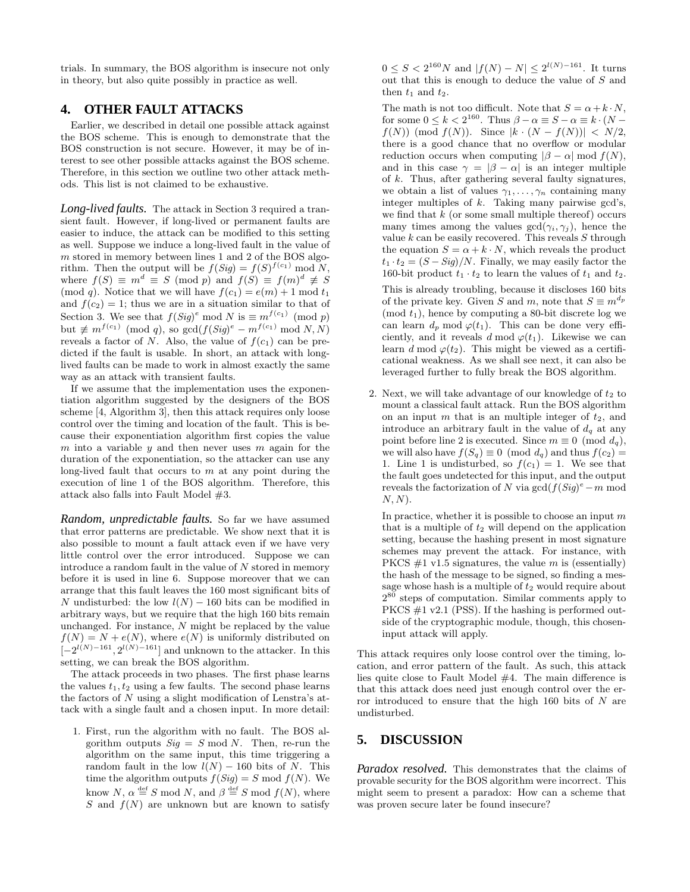trials. In summary, the BOS algorithm is insecure not only in theory, but also quite possibly in practice as well.

# **4. OTHER FAULT ATTACKS**

Earlier, we described in detail one possible attack against the BOS scheme. This is enough to demonstrate that the BOS construction is not secure. However, it may be of interest to see other possible attacks against the BOS scheme. Therefore, in this section we outline two other attack methods. This list is not claimed to be exhaustive.

*Long-lived faults.* The attack in Section 3 required a transient fault. However, if long-lived or permanent faults are easier to induce, the attack can be modified to this setting as well. Suppose we induce a long-lived fault in the value of m stored in memory between lines 1 and 2 of the BOS algorithm. Then the output will be  $f(Sig) = f(S)^{f(c_1)} \text{ mod } N$ , where  $f(S) \equiv m^d \equiv S \pmod{p}$  and  $f(S) \equiv f(m)^d \not\equiv S$ (mod q). Notice that we will have  $f(c_1) = e(m) + 1 \mod t_1$ and  $f(c_2) = 1$ ; thus we are in a situation similar to that of Section 3. We see that  $f(Sig)^e \mod N$  is  $\equiv m^{f(c_1)} \pmod{p}$ but  $\not\equiv m^{f(c_1)} \pmod{q}$ , so  $\gcd(f(Sig)^e - m^{f(c_1)} \bmod N, N)$ reveals a factor of N. Also, the value of  $f(c_1)$  can be predicted if the fault is usable. In short, an attack with longlived faults can be made to work in almost exactly the same way as an attack with transient faults.

If we assume that the implementation uses the exponentiation algorithm suggested by the designers of the BOS scheme [4, Algorithm 3], then this attack requires only loose control over the timing and location of the fault. This is because their exponentiation algorithm first copies the value m into a variable y and then never uses m again for the duration of the exponentiation, so the attacker can use any long-lived fault that occurs to  $m$  at any point during the execution of line 1 of the BOS algorithm. Therefore, this attack also falls into Fault Model #3.

*Random, unpredictable faults.* So far we have assumed that error patterns are predictable. We show next that it is also possible to mount a fault attack even if we have very little control over the error introduced. Suppose we can introduce a random fault in the value of N stored in memory before it is used in line 6. Suppose moreover that we can arrange that this fault leaves the 160 most significant bits of N undisturbed: the low  $l(N) - 160$  bits can be modified in arbitrary ways, but we require that the high 160 bits remain unchanged. For instance,  $N$  might be replaced by the value  $f(N) = N + e(N)$ , where  $e(N)$  is uniformly distributed on  $[-2^{l(N)-161}, 2^{l(N)-161}]$  and unknown to the attacker. In this setting, we can break the BOS algorithm.

The attack proceeds in two phases. The first phase learns the values  $t_1, t_2$  using a few faults. The second phase learns the factors of  $N$  using a slight modification of Lenstra's attack with a single fault and a chosen input. In more detail:

1. First, run the algorithm with no fault. The BOS algorithm outputs  $Sig = S \mod N$ . Then, re-run the algorithm on the same input, this time triggering a random fault in the low  $l(N) - 160$  bits of N. This time the algorithm outputs  $f(Sig) = S \text{ mod } f(N)$ . We know  $N, \alpha \stackrel{\text{def}}{=} S \text{ mod } N$ , and  $\beta \stackrel{\text{def}}{=} S \text{ mod } f(N)$ , where S and  $f(N)$  are unknown but are known to satisfy

 $0 \leq S < 2^{160} N$  and  $|f(N) - N| \leq 2^{l(N)-161}$ . It turns out that this is enough to deduce the value of S and then  $t_1$  and  $t_2$ .

The math is not too difficult. Note that  $S = \alpha + k \cdot N$ , for some  $0 \le k < 2^{160}$ . Thus  $\beta - \alpha \equiv S - \alpha \equiv k \cdot (N - \alpha)$  $f(N)$  (mod  $f(N)$ ). Since  $|k \cdot (N - f(N))| < N/2$ , there is a good chance that no overflow or modular reduction occurs when computing  $|\beta - \alpha| \mod f(N)$ . and in this case  $\gamma = |\beta - \alpha|$  is an integer multiple of  $k$ . Thus, after gathering several faulty signatures, we obtain a list of values  $\gamma_1, \ldots, \gamma_n$  containing many integer multiples of k. Taking many pairwise gcd's, we find that  $k$  (or some small multiple thereof) occurs many times among the values  $gcd(\gamma_i, \gamma_j)$ , hence the value  $k$  can be easily recovered. This reveals  $S$  through the equation  $S = \alpha + k \cdot N$ , which reveals the product  $t_1 \cdot t_2 = (S - Sig)/N$ . Finally, we may easily factor the 160-bit product  $t_1 \cdot t_2$  to learn the values of  $t_1$  and  $t_2$ .

This is already troubling, because it discloses 160 bits of the private key. Given S and m, note that  $S \equiv m^{d_p}$  $(mod t_1)$ , hence by computing a 80-bit discrete log we can learn  $d_p \mod \varphi(t_1)$ . This can be done very efficiently, and it reveals d mod  $\varphi(t_1)$ . Likewise we can learn d mod  $\varphi(t_2)$ . This might be viewed as a certificational weakness. As we shall see next, it can also be leveraged further to fully break the BOS algorithm.

2. Next, we will take advantage of our knowledge of  $t_2$  to mount a classical fault attack. Run the BOS algorithm on an input m that is an multiple integer of  $t_2$ , and introduce an arbitrary fault in the value of  $d_q$  at any point before line 2 is executed. Since  $m \equiv 0 \pmod{d_q}$ , we will also have  $f(S_q) \equiv 0 \pmod{d_q}$  and thus  $f(c_2)$ 1. Line 1 is undisturbed, so  $f(c_1) = 1$ . We see that the fault goes undetected for this input, and the output reveals the factorization of N via  $gcd(f(Sig)^e - m \mod$  $N, N$ ).

In practice, whether it is possible to choose an input  $m$ that is a multiple of  $t_2$  will depend on the application setting, because the hashing present in most signature schemes may prevent the attack. For instance, with PKCS  $\#1$  v1.5 signatures, the value m is (essentially) the hash of the message to be signed, so finding a message whose hash is a multiple of  $t_2$  would require about 2 <sup>80</sup> steps of computation. Similar comments apply to PKCS #1 v2.1 (PSS). If the hashing is performed outside of the cryptographic module, though, this choseninput attack will apply.

This attack requires only loose control over the timing, location, and error pattern of the fault. As such, this attack lies quite close to Fault Model #4. The main difference is that this attack does need just enough control over the error introduced to ensure that the high  $160$  bits of  $N$  are undisturbed.

# **5. DISCUSSION**

*Paradox resolved.* This demonstrates that the claims of provable security for the BOS algorithm were incorrect. This might seem to present a paradox: How can a scheme that was proven secure later be found insecure?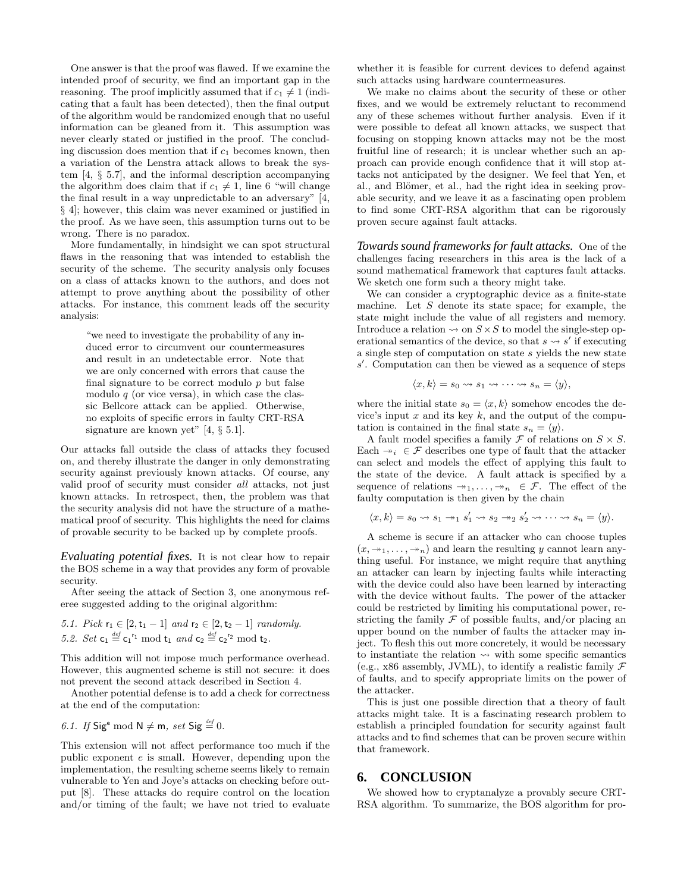One answer is that the proof was flawed. If we examine the intended proof of security, we find an important gap in the reasoning. The proof implicitly assumed that if  $c_1 \neq 1$  (indicating that a fault has been detected), then the final output of the algorithm would be randomized enough that no useful information can be gleaned from it. This assumption was never clearly stated or justified in the proof. The concluding discussion does mention that if  $c_1$  becomes known, then a variation of the Lenstra attack allows to break the system [4, § 5.7], and the informal description accompanying the algorithm does claim that if  $c_1 \neq 1$ , line 6 "will change the final result in a way unpredictable to an adversary" [4, § 4]; however, this claim was never examined or justified in the proof. As we have seen, this assumption turns out to be wrong. There is no paradox.

More fundamentally, in hindsight we can spot structural flaws in the reasoning that was intended to establish the security of the scheme. The security analysis only focuses on a class of attacks known to the authors, and does not attempt to prove anything about the possibility of other attacks. For instance, this comment leads off the security analysis:

"we need to investigate the probability of any induced error to circumvent our countermeasures and result in an undetectable error. Note that we are only concerned with errors that cause the final signature to be correct modulo  $p$  but false modulo  $q$  (or vice versa), in which case the classic Bellcore attack can be applied. Otherwise, no exploits of specific errors in faulty CRT-RSA signature are known yet" [4,  $\S$  5.1].

Our attacks fall outside the class of attacks they focused on, and thereby illustrate the danger in only demonstrating security against previously known attacks. Of course, any valid proof of security must consider all attacks, not just known attacks. In retrospect, then, the problem was that the security analysis did not have the structure of a mathematical proof of security. This highlights the need for claims of provable security to be backed up by complete proofs.

*Evaluating potential fixes.* It is not clear how to repair the BOS scheme in a way that provides any form of provable security.

After seeing the attack of Section 3, one anonymous referee suggested adding to the original algorithm:

5.1. Pick  $r_1 \in [2, t_1 - 1]$  and  $r_2 \in [2, t_2 - 1]$  randomly. 5.2. Set  $\mathsf{c}_1 \stackrel{\text{\tiny def}}{=} \mathsf{c}_1^{r_1} \bmod \mathsf{t}_1$  and  $\mathsf{c}_2 \stackrel{\text{\tiny def}}{=} \mathsf{c}_2^{r_2} \bmod \mathsf{t}_2$ .

This addition will not impose much performance overhead. However, this augmented scheme is still not secure: it does not prevent the second attack described in Section 4.

Another potential defense is to add a check for correctness at the end of the computation:

6.1. If Sig<sup>e</sup> mod N 
$$
\neq
$$
 m, set Sig  $\stackrel{\text{def}}{=} 0$ .

This extension will not affect performance too much if the public exponent e is small. However, depending upon the implementation, the resulting scheme seems likely to remain vulnerable to Yen and Joye's attacks on checking before output [8]. These attacks do require control on the location and/or timing of the fault; we have not tried to evaluate whether it is feasible for current devices to defend against such attacks using hardware countermeasures.

We make no claims about the security of these or other fixes, and we would be extremely reluctant to recommend any of these schemes without further analysis. Even if it were possible to defeat all known attacks, we suspect that focusing on stopping known attacks may not be the most fruitful line of research; it is unclear whether such an approach can provide enough confidence that it will stop attacks not anticipated by the designer. We feel that Yen, et al., and Blömer, et al., had the right idea in seeking provable security, and we leave it as a fascinating open problem to find some CRT-RSA algorithm that can be rigorously proven secure against fault attacks.

*Towards sound frameworks for fault attacks.* One of the challenges facing researchers in this area is the lack of a sound mathematical framework that captures fault attacks. We sketch one form such a theory might take.

We can consider a cryptographic device as a finite-state machine. Let  $S$  denote its state space; for example, the state might include the value of all registers and memory. Introduce a relation  $\rightsquigarrow$  on  $S \times S$  to model the single-step operational semantics of the device, so that  $s \leadsto s'$  if executing a single step of computation on state s yields the new state s'. Computation can then be viewed as a sequence of steps

$$
\langle x,k\rangle=s_0\leadsto s_1\leadsto\cdots\leadsto s_n=\langle y\rangle,
$$

where the initial state  $s_0 = \langle x, k \rangle$  somehow encodes the device's input  $x$  and its key  $k$ , and the output of the computation is contained in the final state  $s_n = \langle y \rangle$ .

A fault model specifies a family  $\mathcal F$  of relations on  $S \times S$ . Each  $\neg_i \in \mathcal{F}$  describes one type of fault that the attacker can select and models the effect of applying this fault to the state of the device. A fault attack is specified by a sequence of relations  $\rightarrow 1, \ldots, \rightarrow n \in \mathcal{F}$ . The effect of the faulty computation is then given by the chain

$$
\langle x,k\rangle = s_0 \leadsto s_1 \rightarrow_1 s'_1 \leadsto s_2 \rightarrow_2 s'_2 \leadsto \cdots \leadsto s_n = \langle y \rangle.
$$

A scheme is secure if an attacker who can choose tuples  $(x, \rightarrow_1, \ldots, \rightarrow_n)$  and learn the resulting y cannot learn anything useful. For instance, we might require that anything an attacker can learn by injecting faults while interacting with the device could also have been learned by interacting with the device without faults. The power of the attacker could be restricted by limiting his computational power, restricting the family  $\mathcal F$  of possible faults, and/or placing an upper bound on the number of faults the attacker may inject. To flesh this out more concretely, it would be necessary to instantiate the relation  $\rightsquigarrow$  with some specific semantics (e.g., x86 assembly, JVML), to identify a realistic family  $\mathcal F$ of faults, and to specify appropriate limits on the power of the attacker.

This is just one possible direction that a theory of fault attacks might take. It is a fascinating research problem to establish a principled foundation for security against fault attacks and to find schemes that can be proven secure within that framework.

### **6. CONCLUSION**

We showed how to cryptanalyze a provably secure CRT-RSA algorithm. To summarize, the BOS algorithm for pro